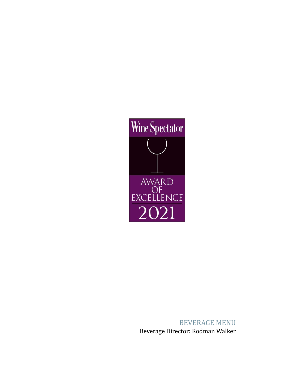

BEVERAGE MENU Beverage Director: Rodman Walker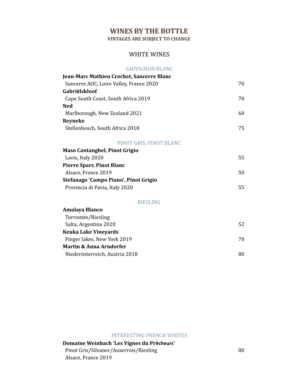# **WINES BY THE BOTTLE**

**VINTAGES ARE SUBJECT TO CHANGE**

### WHITE WINES

#### SAUVIGNON BLANC

| Jean-Marc Mathieu Crochet, Sancerre Blanc |    |
|-------------------------------------------|----|
| Sancerre AOC, Loire Valley, France 2020   | 70 |
| Gabriëlskloof                             |    |
| Cape South Coast, South Africa 2019       | 70 |
| <b>Ned</b>                                |    |
| Marlborough, New Zealand 2021             | 60 |
| <b>Reyneke</b>                            |    |
| Stellenbosch, South Africa 2018           | 75 |
| PINOT GRIS, PINOT BLANC                   |    |
| Maso Cantanghel, Pinot Grigio             |    |
| Lavis, Italy 2020                         | 55 |
| <b>Pierre Sparr, Pinot Blanc</b>          |    |
| Alsace, France 2019                       | 50 |
| Stefanago 'Campo Piano', Pinot Grigio     |    |
| Provincia di Pavia, Italy 2020            | 55 |
| <b>RIESLING</b>                           |    |
| Amalaya Blanco                            |    |
| Torrontés/Riesling                        |    |
| Salta, Argentina 2020                     | 52 |
| <b>Keuka Lake Vineyards</b>               |    |
| Finger lakes, New York 2019               | 70 |
| <b>Martin &amp; Anna Arndorfer</b>        |    |
| Niederösterreich, Austria 2018            | 80 |

INTERESTING FRENCH WHITES

## **Domaine Weinbach 'Les Vignes du Prêcheurs'** Pinot Gris/Silvaner/Auxerrois/Riesling 80 Alsace, France 2019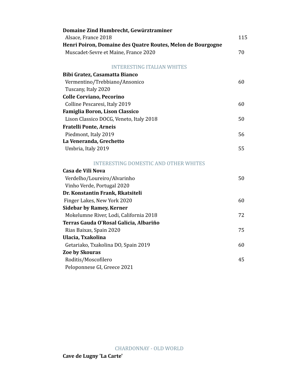| Domaine Zind Humbrecht, Gewürztraminer                      |     |
|-------------------------------------------------------------|-----|
| Alsace, France 2018                                         | 115 |
| Henri Poiron, Domaine des Quatre Routes, Melon de Bourgogne |     |
| Muscadet-Sevre et Maine, France 2020                        | 70  |
| <b>INTERESTING ITALIAN WHITES</b>                           |     |
| Bibi Gratez, Casamatta Bianco                               |     |
| Vermentino/Trebbiano/Ansonico                               | 60  |
| Tuscany, Italy 2020                                         |     |
| <b>Colle Corviano, Pecorino</b>                             |     |
| Colline Pescaresi, Italy 2019                               | 60  |
| Famiglia Boron, Lison Classico                              |     |
| Lison Classico DOCG, Veneto, Italy 2018                     | 50  |
| Fratelli Ponte, Arneis                                      |     |
| Piedmont, Italy 2019                                        | 56  |
| La Veneranda, Grechetto                                     |     |
| Umbria, Italy 2019                                          | 55  |
| <b>INTERESTING DOMESTIC AND OTHER WHITES</b>                |     |
| Casa de Vili Nova                                           |     |
| Verdelho/Loureiro/Alvarinho                                 | 50  |
| Vinho Verde, Portugal 2020                                  |     |
| Dr. Konstantin Frank, Rkatsiteli                            |     |
| Finger Lakes, New York 2020                                 | 60  |
| <b>Sidebar by Ramey, Kerner</b>                             |     |
| Mokelumne River, Lodi, California 2018                      | 72  |
| Terras Gauda O'Rosal Galicia, Albariño                      |     |
| Rias Baixas, Spain 2020                                     | 75  |
| Ulacia, Txakolina                                           |     |
| Getariako, Txakolina DO, Spain 2019                         | 60  |
| <b>Zoe by Skouras</b>                                       |     |
| Roditis/Moscofilero                                         | 45  |
| Peloponnese GI, Greece 2021                                 |     |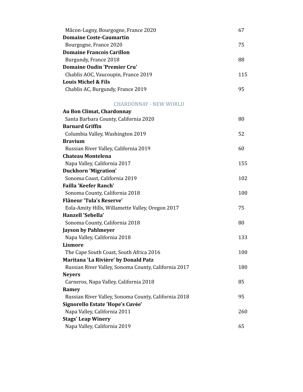| Mâcon-Lugny, Bourgogne, France 2020 | 67  |
|-------------------------------------|-----|
| <b>Domaine Coste-Caumartin</b>      |     |
| Bourgogne, France 2020              | 75  |
| <b>Domaine Francois Carillon</b>    |     |
| Burgundy, France 2018               | 88  |
| <b>Domaine Oudin 'Premier Cru'</b>  |     |
| Chablis AOC, Vaucoupin, France 2019 | 115 |
| Louis Michel & Fils                 |     |
| Chablis AC, Burgundy, France 2019   | 95  |

CHARDONNAY - NEW WORLD

| <b>Au Bon Climat, Chardonnay</b>                     |     |
|------------------------------------------------------|-----|
| Santa Barbara County, California 2020                | 80  |
| <b>Barnard Griffin</b>                               |     |
| Columbia Valley, Washington 2019                     | 52  |
| <b>Bravium</b>                                       |     |
| Russian River Valley, California 2019                | 60  |
| <b>Chateau Montelena</b>                             |     |
| Napa Valley, California 2017                         | 155 |
| <b>Duckhorn 'Migration'</b>                          |     |
| Sonoma Coast, California 2019                        | 102 |
| <b>Failla 'Keefer Ranch'</b>                         |     |
| Sonoma County, California 2018                       | 100 |
| <b>Flâneur 'Tula's Reserve'</b>                      |     |
| Eola-Amity Hills, Willamette Valley, Oregon 2017     | 75  |
| <b>Hanzell 'Sebella'</b>                             |     |
| Sonoma County, California 2018                       | 80  |
| <b>Jayson by Pahlmeyer</b>                           |     |
| Napa Valley, California 2018                         | 133 |
| <b>Lismore</b>                                       |     |
| The Cape South Coast, South Africa 2016              | 100 |
| Maritana 'La Rivière' by Donald Patz                 |     |
| Russian River Valley, Sonoma County, California 2017 | 180 |
| <b>Neyers</b>                                        |     |
| Carneros, Napa Valley, California 2018               | 85  |
| Ramey                                                |     |
| Russian River Valley, Sonoma County, California 2018 | 95  |
| Signorello Estate 'Hope's Cuvée'                     |     |
| Napa Valley, California 2011                         | 260 |
| <b>Stags' Leap Winery</b>                            |     |
| Napa Valley, California 2019                         | 65  |
|                                                      |     |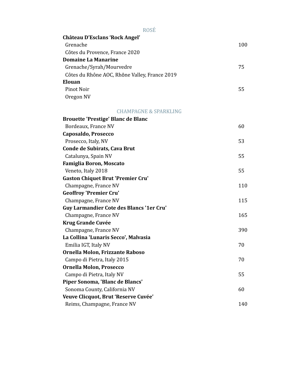| <b>ROSÉ</b>                                   |     |
|-----------------------------------------------|-----|
| <b>Château D'Esclans 'Rock Angel'</b>         |     |
| Grenache                                      | 100 |
| Côtes du Provence, France 2020                |     |
| <b>Domaine La Manarine</b>                    |     |
| Grenache/Syrah/Mourvedre                      | 75  |
| Côtes du Rhône AOC, Rhône Valley, France 2019 |     |
| Elouan                                        |     |
| Pinot Noir                                    | 55  |
| Oregon NV                                     |     |

### CHAMPAGNE & SPARKLING

| <b>Brouette 'Prestige' Blanc de Blanc</b>       |     |
|-------------------------------------------------|-----|
| Bordeaux, France NV                             | 60  |
| Caposaldo, Prosecco                             |     |
| Prosecco, Italy, NV                             | 53  |
| Conde de Subirats, Cava Brut                    |     |
| Catalunya, Spain NV                             | 55  |
| <b>Famiglia Boron, Moscato</b>                  |     |
| Veneto, Italy 2018                              | 55  |
| <b>Gaston Chiquet Brut 'Premier Cru'</b>        |     |
| Champagne, France NV                            | 110 |
| <b>Geoffroy 'Premier Cru'</b>                   |     |
| Champagne, France NV                            | 115 |
| <b>Guy Larmandier Cote des Blancs '1er Cru'</b> |     |
| Champagne, France NV                            | 165 |
| <b>Krug Grande Cuvée</b>                        |     |
| Champagne, France NV                            | 390 |
| La Collina 'Lunaris Secco', Malvasia            |     |
| Emilia IGT, Italy NV                            | 70  |
| Ornella Molon, Frizzante Raboso                 |     |
| Campo di Pietra, Italy 2015                     | 70  |
| Ornella Molon, Prosecco                         |     |
| Campo di Pietra, Italy NV                       | 55  |
| Piper Sonoma, 'Blanc de Blancs'                 |     |
| Sonoma County, California NV                    | 60  |
| Veuve Clicquot, Brut 'Reserve Cuvée'            |     |
| Reims, Champagne, France NV                     | 140 |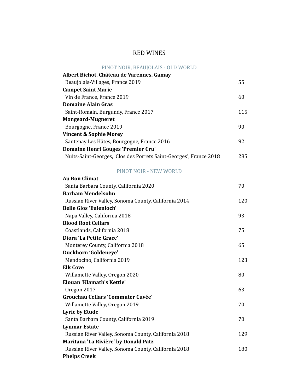# RED WINES

### PINOT NOIR, BEAUJOLAIS - OLD WORLD

| Albert Bichot, Château de Varennes, Gamay                          |      |
|--------------------------------------------------------------------|------|
| Beaujolais-Villages, France 2019                                   | 55   |
| <b>Campet Saint Marie</b>                                          |      |
| Vin de France, France 2019                                         | 60   |
| Domaine Alain Gras                                                 |      |
| Saint-Romain, Burgundy, France 2017                                | 115  |
| <b>Mongeard-Mugneret</b>                                           |      |
| Bourgogne, France 2019                                             | 90   |
| <b>Vincent &amp; Sophie Morey</b>                                  |      |
| Santenay Les Hâtes, Bourgogne, France 2016                         | 92   |
| Domaine Henri Gouges 'Premier Cru'                                 |      |
| Nuits-Saint-Georges, 'Clos des Porrets Saint-Georges', France 2018 | 285. |

### PINOT NOIR - NEW WORLD

| <b>Au Bon Climat</b>                                 |     |
|------------------------------------------------------|-----|
| Santa Barbara County, California 2020                | 70  |
| <b>Barham Mendelsohn</b>                             |     |
| Russian River Valley, Sonoma County, California 2014 | 120 |
| <b>Belle Glos 'Eulenloch'</b>                        |     |
| Napa Valley, California 2018                         | 93  |
| <b>Blood Root Cellars</b>                            |     |
| Coastlands, California 2018                          | 75  |
| Diora 'La Petite Grace'                              |     |
| Monterey County, California 2018                     | 65  |
| Duckhorn 'Goldeneye'                                 |     |
| Mendocino, California 2019                           | 123 |
| <b>Elk Cove</b>                                      |     |
| Willamette Valley, Oregon 2020                       | 80  |
| <b>Elouan 'Klamath's Kettle'</b>                     |     |
| Oregon 2017                                          | 63  |
| <b>Grouchau Cellars 'Commuter Cuvée'</b>             |     |
| Willamette Valley, Oregon 2019                       | 70  |
| <b>Lyric by Etude</b>                                |     |
| Santa Barbara County, California 2019                | 70  |
| <b>Lynmar Estate</b>                                 |     |
| Russian River Valley, Sonoma County, California 2018 | 129 |
| Maritana 'La Rivière' by Donald Patz                 |     |
| Russian River Valley, Sonoma County, California 2018 | 180 |
| <b>Phelps Creek</b>                                  |     |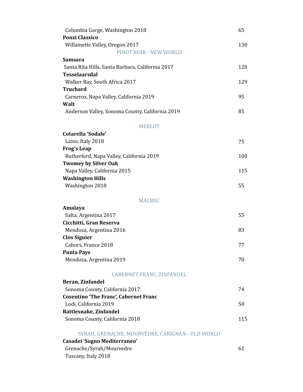| Columbia Gorge, Washington 2018                  | 65  |
|--------------------------------------------------|-----|
| <b>Ponzi Classico</b>                            |     |
| Willamette Valley, Oregon 2017                   | 130 |
| PINOT NOIR - NEW WORLD                           |     |
| <b>Samsara</b>                                   |     |
| Santa Rita Hills, Santa Barbara, California 2017 | 120 |
| <b>Tesselaarsdal</b>                             |     |
| Walker Bay, South Africa 2017                    | 129 |
| <b>Truchard</b>                                  |     |
| Carneros, Napa Valley, California 2019           | 95  |
| Walt                                             |     |
| Anderson Valley, Sonoma County, California 2019  | 85  |
|                                                  |     |
| <b>MERLOT</b>                                    |     |
| <b>Cotarella 'Sodale'</b>                        |     |
| Lazio, Italy 2018                                | 75  |
| <b>Frog's Leap</b>                               |     |
| Rutherford, Napa Valley, California 2019         | 100 |
| <b>Twomey by Silver Oak</b>                      |     |
| Napa Valley, California 2015                     | 115 |
| <b>Washington Hills</b>                          | 55  |
| Washington 2018                                  |     |
|                                                  |     |
|                                                  |     |
| <b>MALBEC</b>                                    |     |
| Amalaya                                          |     |
| Salta, Argentina 2017                            | 55  |
| Cicchitti, Gran Reserva                          |     |
| Mendoza, Argentina 2016                          | 83  |
| <b>Clos Siguier</b>                              |     |
| Cahors, France 2018                              | 77  |
| <b>Punta Pays</b>                                | 70  |
| Mendoza, Argentina 2019                          |     |
| <b>CABERNET FRANC, ZINFANDEL</b>                 |     |
| Beran, Zinfandel                                 |     |
| Sonoma County, California 2017                   | 74  |
| <b>Cosentino 'The Franc', Cabernet Franc</b>     |     |
| Lodi, California 2019                            | 50  |
| Rattlesnake, Zinfandel                           |     |
| Sonoma County, California 2018                   | 115 |
|                                                  |     |
| SYRAH, GRENACHE, MOURVÈDRE, CARIGNAN - OLD WORLD |     |
| Casadei 'Sogno Mediterraneo'                     |     |
| Grenache/Syrah/Mourvedre<br>Tuscany, Italy 2018  | 61  |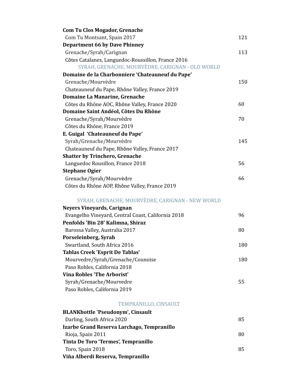| <b>Com Tu Clos Mogador, Grenache</b>               |     |
|----------------------------------------------------|-----|
| Com Tu Montsant, Spain 2017                        | 121 |
| <b>Department 66 by Dave Phinney</b>               |     |
| Grenache/Syrah/Carignan                            | 113 |
| Côtes Catalanes, Languedoc-Roussillon, France 2016 |     |
| SYRAH, GRENACHE, MOURVÈDRE, CARIGNAN - OLD WORLD   |     |
| Domaine de la Charbonniere 'Chateauneuf du Pape'   |     |
| Grenache/Mourvèdre                                 | 150 |
| Chateauneuf du Pape, Rhône Valley, France 2019     |     |
| Domaine La Manarine, Grenache                      |     |
| Côtes du Rhône AOC, Rhône Valley, France 2020      | 60  |
| Domaine Saint Andéol, Côtes Du Rhône               |     |
| Grenache/Syrah/Mourvèdre                           | 70  |
| Côtes du Rhône, France 2019                        |     |
| E. Guigal 'Chateauneuf du Pape'                    |     |
| Syrah/Grenache/Mourvèdre                           | 145 |
| Chateauneuf du Pape, Rhône Valley, France 2017     |     |
| <b>Shatter by Trinchero, Grenache</b>              |     |
| Languedoc Rousillon, France 2018                   | 56  |
| <b>Stephane Ogier</b>                              |     |
| Grenache/Syrah/Mourvèdre                           | 66  |
| Côtes du Rhône AOP, Rhône Valley, France 2019      |     |
| SYRAH, GRENACHE, MOURVÈDRE, CARIGNAN - NEW WORLD   |     |
| <b>Neyers Vineyards, Carignan</b>                  |     |
| Evangelho Vineyard, Central Coast, California 2018 | 96  |
| Penfolds 'Bin 28' Kalimna, Shiraz                  |     |
| Barossa Valley, Australia 2017                     | 80  |
| Porseleinberg, Syrah                               |     |
| Swartland, South Africa 2016                       | 180 |
| <b>Tablas Creek 'Esprit De Tablas'</b>             |     |
| Mourvedre/Syrah/Grenache/Counoise                  | 180 |
| Paso Robles, California 2018                       |     |
| <b>Vina Robles 'The Arborist'</b>                  |     |
| Syrah/Grenache/Mourvedre                           | 55  |
| Paso Robles, California 2019                       |     |
| TEMPRANILLO, CINSAULT                              |     |
| <b>BLANKbottle 'Pseudonym', Cinsault</b>           |     |
| Darling, South Africa 2020                         | 85  |
| Izarbe Grand Reserva Larchago, Tempranillo         |     |
| Rioja, Spain 2011                                  | 80  |
| Tinta De Toro 'Termes', Tempranillo                |     |
| Toro, Spain 2018                                   | 85  |

**Viña Alberdi Reserva, Tempranillo**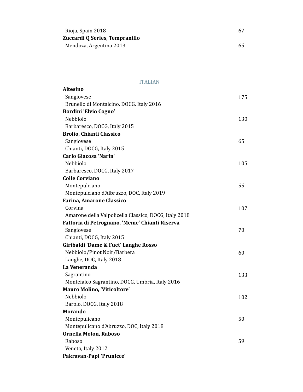| Rioja, Spain 2018              |    |
|--------------------------------|----|
| Zuccardi Q Series, Tempranillo |    |
| Mendoza, Argentina 2013        | 65 |

ITALIAN

| <b>Altesino</b>                                       |     |
|-------------------------------------------------------|-----|
| Sangiovese                                            | 175 |
| Brunello di Montalcino, DOCG, Italy 2016              |     |
| Bordini 'Elvio Cogno'                                 |     |
| Nebbiolo                                              | 130 |
| Barbaresco, DOCG, Italy 2015                          |     |
| <b>Brolio, Chianti Classico</b>                       |     |
| Sangiovese                                            | 65  |
| Chianti, DOCG, Italy 2015                             |     |
| <b>Carlo Giacosa 'Narin'</b>                          |     |
| Nebbiolo                                              | 105 |
| Barbaresco, DOCG, Italy 2017                          |     |
| <b>Colle Corviano</b>                                 |     |
| Montepulciano                                         | 55  |
| Montepulciano d'Albruzzo, DOC, Italy 2019             |     |
| <b>Farina, Amarone Classico</b>                       |     |
| Corvina                                               | 107 |
| Amarone della Valpolicella Classico, DOCG, Italy 2018 |     |
| Fattoria di Petrognano, 'Meme' Chianti Riserva        |     |
| Sangiovese                                            | 70  |
| Chianti, DOCG, Italy 2015                             |     |
| Giribaldi 'Dame & Fuet' Langhe Rosso                  |     |
| Nebbiolo/Pinot Noir/Barbera                           | 60  |
| Langhe, DOC, Italy 2018                               |     |
| La Veneranda                                          |     |
| Sagrantino                                            | 133 |
| Montefalco Sagrantino, DOCG, Umbria, Italy 2016       |     |
| <b>Mauro Molino, 'Viticoltore'</b>                    |     |
| Nebbiolo                                              | 102 |
| Barolo, DOCG, Italy 2018                              |     |
| <b>Morando</b>                                        |     |
| Montepulicano                                         | 50  |
| Montepulicano d'Abruzzo, DOC, Italy 2018              |     |
| Ornella Molon, Raboso                                 |     |
| Raboso                                                | 59  |
| Veneto, Italy 2012                                    |     |
| Pakravan-Papi 'Prunicce'                              |     |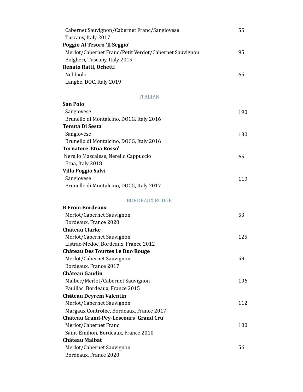| Cabernet Sauvignon/Cabernet Franc/Sangiovese          | 55 |
|-------------------------------------------------------|----|
| Tuscany, Italy 2017                                   |    |
| Poggio Al Tesoro 'Il Seggio'                          |    |
| Merlot/Cabernet Franc/Petit Verdot/Cabernet Sauvignon | 95 |
| Bolgheri, Tuscany, Italy 2019                         |    |
| Renato Ratti, Ochetti                                 |    |
| <b>Nebbiolo</b>                                       | 65 |
| Langhe, DOC, Italy 2019                               |    |
|                                                       |    |

#### ITALIAN

| <b>San Polo</b>                          |     |
|------------------------------------------|-----|
| Sangiovese                               | 190 |
| Brunello di Montalcino, DOCG, Italy 2016 |     |
| <b>Tenuta Di Sesta</b>                   |     |
| Sangiovese                               | 130 |
| Brunello di Montalcino, DOCG, Italy 2016 |     |
| <b>Tornatore 'Etna Rosso'</b>            |     |
| Nerello Mascalese, Nerello Cappuccio     | 65  |
| Etna, Italy 2018                         |     |
| <b>Villa Poggio Salvi</b>                |     |
| Sangiovese                               | 110 |
| Brunello di Montalcino, DOCG, Italy 2017 |     |
| <b>BORDEAUX ROUGE</b>                    |     |
| <b>B From Bordeaux</b>                   |     |
| Merlot/Cabernet Sauvignon                | 53  |
| Bordeaux, France 2020                    |     |
| <b>Château Clarke</b>                    |     |
| Merlot/Cabernet Sauvignon                | 125 |
| Listrac-Medoc, Bordeaux, France 2012     |     |
| <b>Château Des Tourtes Le Duo Rouge</b>  |     |
| Merlot/Cabernet Sauvignon                | 59  |
| Bordeaux, France 2017                    |     |
| <b>Château Gaudin</b>                    |     |
| Malbec/Merlot/Cabernet Sauvignon         | 106 |
| Pauillac, Bordeaux, France 2015          |     |
| Château Deyrem Valentin                  |     |
| Merlot/Cabernet Sauvignon                | 112 |

Merlot/Cabernet Franc 100

Merlot/Cabernet Sauvignon 56

 Margaux Contrôlée, Bordeaux, France 2017 **Château Grand-Pey-Lescours 'Grand Cru'**

Saint-Émilion, Bordeaux, France 2010

**Château Malbat**

Bordeaux, France 2020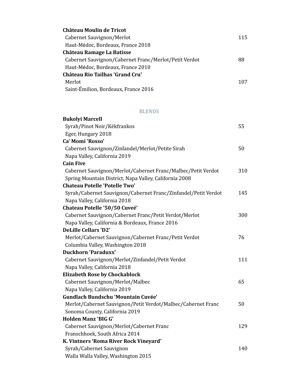| Château Moulin de Tricot                              |     |
|-------------------------------------------------------|-----|
| Cabernet Sauvignon/Merlot                             | 115 |
| Haut-Médoc, Bordeaux, France 2018                     |     |
| Château Ramage La Batisse                             |     |
| Cabernet Sauvignon/Cabernet Franc/Merlot/Petit Verdot | 88  |
| Haut-Médoc, Bordeaux, France 2010                     |     |
| <b>Château Rio Tailhas 'Grand Cru'</b>                |     |
| Merlot                                                | 107 |
| Saint-Émilion, Bordeaux, France 2016                  |     |

### BLENDS

| <b>Bukolyi Marcell</b>                                         |     |
|----------------------------------------------------------------|-----|
| Syrah/Pinot Noir/Kékfrankos                                    | 55  |
| Eger, Hungary 2018                                             |     |
| Ca' Momi 'Rosso'                                               |     |
| Cabernet Sauvignon/Zinfandel/Merlot/Petite Sirah               | 50  |
| Napa Valley, California 2019                                   |     |
| <b>Cain Five</b>                                               |     |
| Cabernet Sauvignon/Merlot/Cabernet Franc/Malbec/Petit Verdot   | 310 |
| Spring Mountain District, Napa Valley, California 2008         |     |
| <b>Chateau Potelle 'Potelle Two'</b>                           |     |
| Syrah/Cabernet Sauvignon/Cabernet Franc/Zinfandel/Petit Verdot | 145 |
| Napa Valley, California 2018                                   |     |
| Chateau Potelle '50/50 Cuveé'                                  |     |
| Cabernet Sauvignon/Cabernet Franc/Petit Verdot/Merlot          | 300 |
| Napa Valley, California & Bordeaux, France 2016                |     |
| <b>DeLille Cellars 'D2'</b>                                    |     |
| Merlot/Cabernet Sauvignon/Cabernet Franc/Petit Verdot          | 76  |
| Columbia Valley, Washington 2018                               |     |
| <b>Duckhorn 'Paraduxx'</b>                                     |     |
| Cabernet Sauvignon/Merlot/Zinfandel/Petit Verdot               | 111 |
| Napa Valley, California 2018                                   |     |
| <b>Elizabeth Rose by Chockablock</b>                           |     |
| Cabernet Sauvignon/Merlot/Malbec                               | 65  |
| Napa Valley, California 2019                                   |     |
| <b>Gundlach Bundschu 'Mountain Cuvée'</b>                      |     |
| Merlot/Cabernet Sauvignon/Petit Verdot/Malbec/Cabernet Franc   | 50  |
| Sonoma County, California 2019                                 |     |
| <b>Holden Manz 'BIG G'</b>                                     |     |
| Cabernet Sauvignon/Merlot/Cabernet Franc                       | 129 |
| Franschhoek, South Africa 2014                                 |     |
| K. Vintners 'Roma River Rock Vineyard'                         |     |
| Syrah/Cabernet Sauvignon                                       | 140 |
| Walla Walla Valley, Washington 2015                            |     |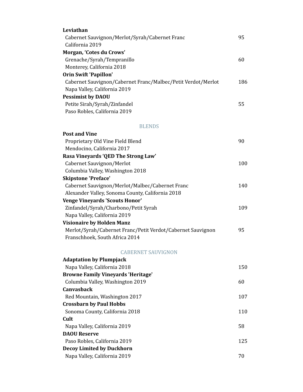| Leviathan                                                    |     |
|--------------------------------------------------------------|-----|
| Cabernet Sauvignon/Merlot/Syrah/Cabernet Franc               | 95  |
| California 2019                                              |     |
| Morgan, 'Cotes du Crows'                                     |     |
| Grenache/Syrah/Tempranillo                                   | 60  |
| Monterey, California 2018                                    |     |
| <b>Orin Swift 'Papillon'</b>                                 |     |
| Cabernet Sauvignon/Cabernet Franc/Malbec/Petit Verdot/Merlot | 186 |
| Napa Valley, California 2019                                 |     |
| <b>Pessimist by DAOU</b>                                     |     |
| Petite Sirah/Syrah/Zinfandel                                 | 55  |
| Paso Robles, California 2019                                 |     |
| <b>BLENDS</b>                                                |     |
| <b>Post and Vine</b>                                         |     |
| Proprietary Old Vine Field Blend                             | 90  |
| Mendocino, California 2017                                   |     |
| Rasa Vineyards 'QED The Strong Law'                          |     |
| Cabernet Sauvignon/Merlot                                    | 100 |
| Columbia Valley, Washington 2018                             |     |
| <b>Skipstone 'Preface'</b>                                   |     |
| Cabernet Sauvignon/Merlot/Malbec/Cabernet Franc              | 140 |
| Alexander Valley, Sonoma County, California 2018             |     |
| <b>Venge Vineyards 'Scouts Honor'</b>                        |     |
| Zinfandel/Syrah/Charbono/Petit Syrah                         | 109 |
| Napa Valley, California 2019                                 |     |
| <b>Visionaire by Holden Manz</b>                             |     |
| Merlot/Syrah/Cabernet Franc/Petit Verdot/Cabernet Sauvignon  | 95  |
| Franschhoek, South Africa 2014                               |     |
| <b>CABERNET SAUVIGNON</b>                                    |     |
| <b>Adaptation by Plumpjack</b>                               |     |
| Napa Valley, California 2018                                 | 150 |
| <b>Browne Family Vineyards 'Heritage'</b>                    |     |
| Columbia Valley, Washington 2019                             | 60  |
| <b>Canvasback</b>                                            |     |
| Red Mountain, Washington 2017                                | 107 |
| <b>Crossbarn by Paul Hobbs</b>                               |     |
| Sonoma County, California 2018                               | 110 |
| Cult                                                         |     |
| Napa Valley, California 2019                                 | 58  |
| <b>DAOU Reserve</b>                                          |     |
| Paso Robles, California 2019                                 | 125 |
| <b>Decoy Limited by Duckhorn</b>                             |     |
| Napa Valley, California 2019                                 | 70  |
|                                                              |     |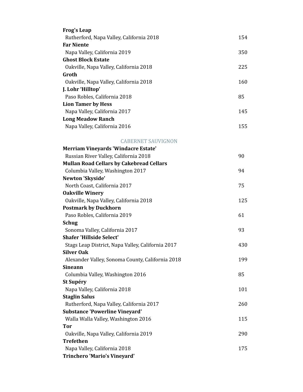| <b>Frog's Leap</b>                                |     |
|---------------------------------------------------|-----|
| Rutherford, Napa Valley, California 2018          | 154 |
| <b>Far Niente</b>                                 |     |
| Napa Valley, California 2019                      | 350 |
| <b>Ghost Block Estate</b>                         |     |
| Oakville, Napa Valley, California 2018            | 225 |
| Groth                                             |     |
| Oakville, Napa Valley, California 2018            | 160 |
| J. Lohr 'Hilltop'                                 |     |
| Paso Robles, California 2018                      | 85  |
| <b>Lion Tamer by Hess</b>                         |     |
| Napa Valley, California 2017                      | 145 |
| <b>Long Meadow Ranch</b>                          |     |
| Napa Valley, California 2016                      | 155 |
| <b>CABERNET SAUVIGNON</b>                         |     |
| <b>Merriam Vineyards 'Windacre Estate'</b>        |     |
| Russian River Valley, California 2018             | 90  |
| <b>Mullan Road Cellars by Cakebread Cellars</b>   |     |
| Columbia Valley, Washington 2017                  | 94  |
| Newton 'Skyside'                                  |     |
| North Coast, California 2017                      | 75  |
| <b>Oakville Winery</b>                            |     |
| Oakville, Napa Valley, California 2018            | 125 |
| <b>Postmark by Duckhorn</b>                       |     |
| Paso Robles, California 2019                      | 61  |
| <b>Schug</b>                                      |     |
| Sonoma Valley, California 2017                    | 93  |
| <b>Shafer 'Hillside Select'</b>                   |     |
| Stags Leap District, Napa Valley, California 2017 | 430 |
| <b>Silver Oak</b>                                 |     |
| Alexander Valley, Sonoma County, California 2018  | 199 |
| <b>Sineann</b>                                    |     |
| Columbia Valley, Washington 2016                  | 85  |
| St Supéry                                         |     |
| Napa Valley, California 2018                      | 101 |
| <b>Staglin Salus</b>                              |     |
| Rutherford, Napa Valley, California 2017          | 260 |
| <b>Substance 'Powerline Vineyard'</b>             |     |
| Walla Walla Valley, Washington 2016               | 115 |
| <b>Tor</b>                                        |     |
| Oakville, Napa Valley, California 2019            | 290 |
| <b>Trefethen</b>                                  |     |
| Napa Valley, California 2018                      | 175 |
| <b>Trinchero 'Mario's Vineyard'</b>               |     |